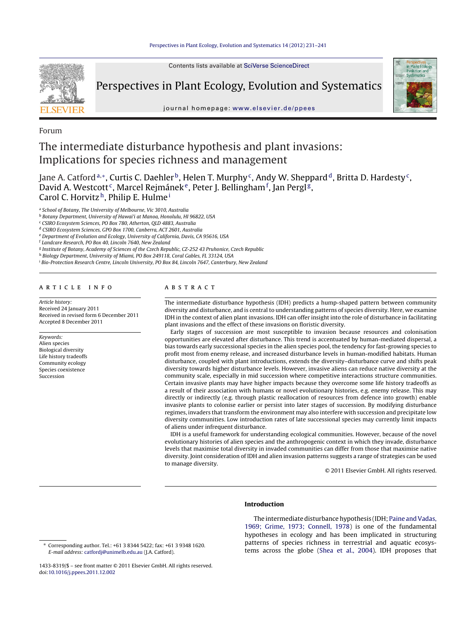

Contents lists available at SciVerse [ScienceDirect](http://www.sciencedirect.com/science/journal/14338319)

Perspectives in Plant Ecology, Evolution and Systematics



journal homepage: [www.elsevier.de/ppees](http://www.elsevier.de/ppees)

Forum

# The intermediate disturbance hypothesis and plant invasions: Implications for species richness and management

Jane A. Catford<sup>a,∗</sup>, Curtis C. Daehler<sup>b</sup>, Helen T. Murphy<sup>c</sup>, Andy W. Sheppard<sup>d</sup>, Britta D. Hardesty<sup>c</sup>, David A. Westcott<sup>c</sup>, Marcel Rejmánek<sup>e</sup>, Peter J. Bellingham<sup>f</sup>, Jan Pergl<sup>g</sup>, Carol C. Horvitz<sup>h</sup>, Philip E. Hulme<sup>i</sup>

<sup>c</sup> CSIRO Ecosystem Sciences, PO Box 780, Atherton, QLD 4883, Australia

<sup>d</sup> CSIRO Ecosystem Sciences, GPO Box 1700, Canberra, ACT 2601, Australia

<sup>e</sup> Department of Evolution and Ecology, University of California, Davis, CA 95616, USA

<sup>f</sup> Landcare Research, PO Box 40, Lincoln 7640, New Zealand

<sup>g</sup> Institute of Botany, Academy of Sciences of the Czech Republic, CZ-252 43 Pruhonice, Czech Republic

h Biology Department, University of Miami, PO Box 249118, Coral Gables, FL 33124, USA

<sup>i</sup> Bio-Protection Research Centre, Lincoln University, PO Box 84, Lincoln 7647, Canterbury, New Zealand

# ARTICLE INFO

Article history: Received 24 January 2011 Received in revised form 6 December 2011 Accepted 8 December 2011

Keywords: Alien species Biological diversity Life history tradeoffs Community ecology Species coexistence Succession

# a b s t r a c t

The intermediate disturbance hypothesis (IDH) predicts a hump-shaped pattern between community diversity and disturbance, and is central to understanding patterns of species diversity. Here, we examine IDH in the context of alien plant invasions. IDH can offer insight into the role of disturbance in facilitating plant invasions and the effect of these invasions on floristic diversity.

Early stages of succession are most susceptible to invasion because resources and colonisation opportunities are elevated after disturbance. This trend is accentuated by human-mediated dispersal, a bias towards early successional species in the alien species pool, the tendency for fast-growing species to profit most from enemy release, and increased disturbance levels in human-modified habitats. Human disturbance, coupled with plant introductions, extends the diversity–disturbance curve and shifts peak diversity towards higher disturbance levels. However, invasive aliens can reduce native diversity at the community scale, especially in mid succession where competitive interactions structure communities. Certain invasive plants may have higher impacts because they overcome some life history tradeoffs as a result of their association with humans or novel evolutionary histories, e.g. enemy release. This may directly or indirectly (e.g. through plastic reallocation of resources from defence into growth) enable invasive plants to colonise earlier or persist into later stages of succession. By modifying disturbance regimes, invaders that transform the environment may also interfere with succession and precipitate low diversity communities. Low introduction rates of late successional species may currently limit impacts of aliens under infrequent disturbance.

IDH is a useful framework for understanding ecological communities. However, because of the novel evolutionary histories of alien species and the anthropogenic context in which they invade, disturbance levels that maximise total diversity in invaded communities can differ from those that maximise native diversity. Joint consideration of IDH and alien invasion patterns suggests a range of strategies can be used to manage diversity.

© 2011 Elsevier GmbH. All rights reserved.

# **Introduction**

The intermediate disturbance hypothesis (IDH; [Paine](#page-9-0) and Vadas, [1969;](#page-9-0) [Grime,](#page-9-0) [1973;](#page-9-0) [Connell,](#page-9-0) [1978\)](#page-9-0) is one of the fundamental hypotheses in ecology and has been implicated in structuring patterns of species richness in terrestrial and aquatic ecosystems across the globe ([Shea](#page-9-0) et [al.,](#page-9-0) [2004\).](#page-9-0) IDH proposes that

<sup>a</sup> School of Botany, The University of Melbourne, Vic 3010, Australia

<sup>b</sup> Botany Department, University of Hawai'i at Manoa, Honolulu, HI 96822, USA

<sup>∗</sup> Corresponding author. Tel.: +61 3 8344 5422; fax: +61 3 9348 1620. E-mail address: [catfordj@unimelb.edu.au](mailto:catfordj@unimelb.edu.au) (J.A. Catford).

<sup>1433-8319/\$</sup> – see front matter © 2011 Elsevier GmbH. All rights reserved. doi:[10.1016/j.ppees.2011.12.002](dx.doi.org/10.1016/j.ppees.2011.12.002)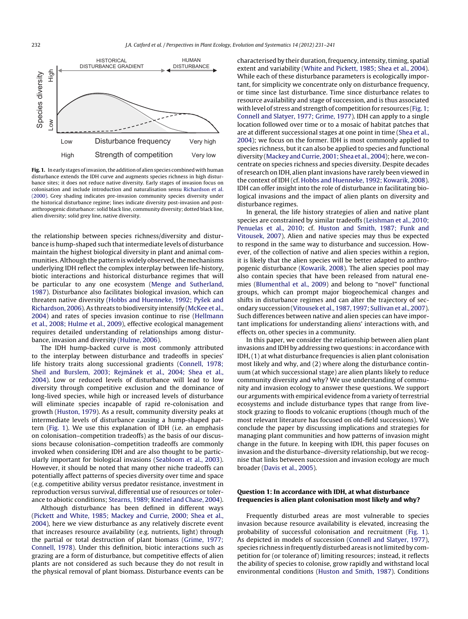<span id="page-1-0"></span>

Fig. 1. In early stages of invasion, the addition of alien species combined with human disturbance extends the IDH curve and augments species richness in high disturbance sites; it does not reduce native diversity. Early stages of invasion focus on colonisation and include introduction and naturalisation sensu [Richardson](#page-9-0) et [al.](#page-9-0) [\(2000\).](#page-9-0) Grey shading indicates pre-invasion community species diversity under the historical disturbance regime; lines indicate diversity post-invasion and postanthropogenic disturbance: solid black line, community diversity; dotted black line, alien diversity; solid grey line, native diversity.

the relationship between species richness/diversity and disturbance is hump-shaped such that intermediate levels of disturbance maintain the highest biological diversity in plant and animal communities. Although the pattern is widely observed, the mechanisms underlying IDH reflect the complex interplay between life-history, biotic interactions and historical disturbance regimes that will be particular to any one ecosystem [\(Menge](#page-9-0) [and](#page-9-0) [Sutherland,](#page-9-0) [1987\).](#page-9-0) Disturbance also facilitates biological invasion, which can threaten native diversity ([Hobbs](#page-9-0) [and](#page-9-0) [Huenneke,](#page-9-0) [1992;](#page-9-0) Pyšek and [Richardson,](#page-9-0) [2006\).](#page-9-0) As threats to biodiversity intensify [\(McKee](#page-9-0) et [al.,](#page-9-0) [2004\)](#page-9-0) and rates of species invasion continue to rise [\(Hellmann](#page-9-0) et [al.,](#page-9-0) [2008;](#page-9-0) [Hulme](#page-9-0) et [al.,](#page-9-0) [2009\),](#page-9-0) effective ecological management requires detailed understanding of relationships among disturbance, invasion and diversity ([Hulme,](#page-9-0) [2006\).](#page-9-0)

The IDH hump-backed curve is most commonly attributed to the interplay between disturbance and tradeoffs in species' life history traits along successional gradients [\(Connell,](#page-8-0) [1978;](#page-8-0) [Sheil](#page-8-0) [and](#page-8-0) [Burslem,](#page-8-0) [2003;](#page-8-0) [Rejmánek](#page-8-0) et [al.,](#page-8-0) [2004;](#page-8-0) [Shea](#page-8-0) et [al.,](#page-8-0) [2004\).](#page-8-0) Low or reduced levels of disturbance will lead to low diversity through competitive exclusion and the dominance of long-lived species, while high or increased levels of disturbance will eliminate species incapable of rapid re-colonisation and growth [\(Huston,](#page-9-0) [1979\).](#page-9-0) As a result, community diversity peaks at intermediate levels of disturbance causing a hump-shaped pattern (Fig. 1). We use this explanation of IDH (i.e. an emphasis on colonisation–competition tradeoffs) as the basis of our discussions because colonisation–competition tradeoffs are commonly invoked when considering IDH and are also thought to be particularly important for biological invasions [\(Seabloom](#page-9-0) et [al.,](#page-9-0) [2003\).](#page-9-0) However, it should be noted that many other niche tradeoffs can potentially affect patterns of species diversity over time and space (e.g. competitive ability versus predator resistance, investment in reproduction versus survival, differential use of resources or tolerance to abiotic conditions; [Stearns,](#page-10-0) [1989;](#page-10-0) [Kneitel](#page-10-0) [and](#page-10-0) [Chase,](#page-10-0) [2004\).](#page-10-0)

Although disturbance has been defined in different ways ([Pickett](#page-9-0) [and](#page-9-0) [White,](#page-9-0) [1985;](#page-9-0) [Mackey](#page-9-0) [and](#page-9-0) [Currie,](#page-9-0) [2000;](#page-9-0) [Shea](#page-9-0) et [al.,](#page-9-0) [2004\),](#page-9-0) here we view disturbance as any relatively discrete event that increases resource availability (e.g. nutrients, light) through the partial or total destruction of plant biomass [\(Grime,](#page-9-0) [1977;](#page-9-0) [Connell,](#page-9-0) [1978\).](#page-9-0) Under this definition, biotic interactions such as grazing are a form of disturbance, but competitive effects of alien plants are not considered as such because they do not result in the physical removal of plant biomass. Disturbance events can be

characterised by their duration, frequency, intensity, timing, spatial extent and variability [\(White](#page-10-0) [and](#page-10-0) [Pickett,](#page-10-0) [1985;](#page-10-0) [Shea](#page-10-0) et [al.,](#page-10-0) [2004\).](#page-10-0) While each of these disturbance parameters is ecologically important, for simplicity we concentrate only on disturbance frequency, or time since last disturbance. Time since disturbance relates to resource availability and stage of succession, and is thus associated with level of stress and strength of competition for resources (Fig. 1; [Connell](#page-8-0) [and](#page-8-0) [Slatyer,](#page-8-0) [1977;](#page-8-0) [Grime,](#page-8-0) [1977\).](#page-8-0) IDH can apply to a single location followed over time or to a mosaic of habitat patches that are at different successional stages at one point in time [\(Shea](#page-9-0) et [al.,](#page-9-0) [2004\);](#page-9-0) we focus on the former. IDH is most commonly applied to species richness, but it can also be applied to species and functional diversity ([Mackey](#page-9-0) [and](#page-9-0) [Currie,](#page-9-0) [2001;](#page-9-0) [Shea](#page-9-0) et [al.,](#page-9-0) [2004\);](#page-9-0) here, we concentrate on species richness and species diversity. Despite decades of research on IDH, alien plantinvasions have rarely been viewed in the context of IDH (cf. [Hobbs](#page-9-0) [and](#page-9-0) [Huenneke,](#page-9-0) [1992;](#page-9-0) [Kowarik,](#page-9-0) [2008\).](#page-9-0) IDH can offer insight into the role of disturbance in facilitating biological invasions and the impact of alien plants on diversity and disturbance regimes.

In general, the life history strategies of alien and native plant species are constrained by similar tradeoffs ([Leishman](#page-9-0) et [al.,](#page-9-0) [2010;](#page-9-0) [Penuelas](#page-9-0) et [al.,](#page-9-0) [2010;](#page-9-0) cf. [Huston](#page-9-0) [and](#page-9-0) [Smith,](#page-9-0) [1987;](#page-9-0) [Funk](#page-9-0) [and](#page-9-0) [Vitousek,](#page-9-0) [2007\).](#page-9-0) Alien and native species may thus be expected to respond in the same way to disturbance and succession. However, of the collection of native and alien species within a region, it is likely that the alien species will be better adapted to anthropogenic disturbance [\(Kowarik,](#page-9-0) [2008\).](#page-9-0) The alien species pool may also contain species that have been released from natural enemies ([Blumenthal](#page-8-0) et [al.,](#page-8-0) [2009\)](#page-8-0) and belong to "novel" functional groups, which can prompt major biogeochemical changes and shifts in disturbance regimes and can alter the trajectory of secondary succession [\(Vitousek](#page-10-0) et [al.,](#page-10-0) [1987,](#page-10-0) [1997;](#page-10-0) [Sullivan](#page-10-0) et [al.,](#page-10-0) [2007\).](#page-10-0) Such differences between native and alien species can have important implications for understanding aliens' interactions with, and effects on, other species in a community.

In this paper, we consider the relationship between alien plant invasions and IDH by addressing two questions: in accordance with IDH, (1) at what disturbance frequencies is alien plant colonisation most likely and why, and (2) where along the disturbance continuum (at which successional stage) are alien plants likely to reduce community diversity and why? We use understanding of community and invasion ecology to answer these questions. We support our arguments with empirical evidence from a variety of terrestrial ecosystems and include disturbance types that range from livestock grazing to floods to volcanic eruptions (though much of the most relevant literature has focused on old-field successions). We conclude the paper by discussing implications and strategies for managing plant communities and how patterns of invasion might change in the future. In keeping with IDH, this paper focuses on invasion and the disturbance–diversity relationship, but we recognise that links between succession and invasion ecology are much broader ([Davis](#page-8-0) et [al.,](#page-8-0) [2005\).](#page-8-0)

# **Question 1: In accordance with IDH, at what disturbance frequencies is alien plant colonisation most likely and why?**

Frequently disturbed areas are most vulnerable to species invasion because resource availability is elevated, increasing the probability of successful colonisation and recruitment (Fig. 1). As depicted in models of succession [\(Connell](#page-8-0) [and](#page-8-0) [Slatyer,](#page-8-0) [1977\),](#page-8-0) species richness in frequently disturbed areas is not limited by competition for (or tolerance of) limiting resources; instead, it reflects the ability of species to colonise, grow rapidly and withstand local environmental conditions [\(Huston](#page-9-0) [and](#page-9-0) [Smith,](#page-9-0) [1987\).](#page-9-0) Conditions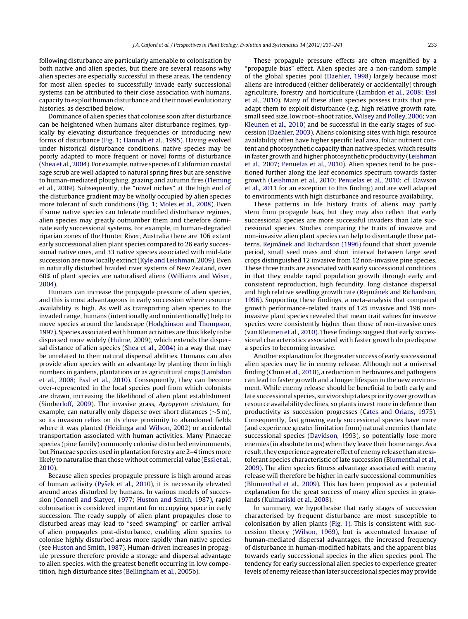following disturbance are particularly amenable to colonisation by both native and alien species, but there are several reasons why alien species are especially successful in these areas. The tendency for most alien species to successfully invade early successional systems can be attributed to their close association with humans, capacity to exploit human disturbance and their novel evolutionary histories, as described below.

Dominance of alien species that colonise soon after disturbance can be heightened when humans alter disturbance regimes, typically by elevating disturbance frequencies or introducing new forms of disturbance ([Fig.](#page-1-0) 1; [Hannah](#page-9-0) et [al.,](#page-9-0) [1995\).](#page-9-0) Having evolved under historical disturbance conditions, native species may be poorly adapted to more frequent or novel forms of disturbance ([Shea](#page-9-0) et [al.,](#page-9-0) [2004\).](#page-9-0) For example, native species of Californian coastal sage scrub are well adapted to natural spring fires but are sensitive to human-mediated ploughing, grazing and autumn fires [\(Fleming](#page-8-0) et [al.,](#page-8-0) [2009\).](#page-8-0) Subsequently, the "novel niches" at the high end of the disturbance gradient may be wholly occupied by alien species more tolerant of such conditions [\(Fig.](#page-1-0) 1; [Moles](#page-9-0) et [al.,](#page-9-0) [2008\).](#page-9-0) Even if some native species can tolerate modified disturbance regimes, alien species may greatly outnumber them and therefore dominate early successional systems. For example, in human-degraded riparian zones of the Hunter River, Australia there are 106 extant early successional alien plant species compared to 26 early successional native ones, and 33 native species associated with mid-late succession are now locally extinct ([Kyle](#page-9-0) [and](#page-9-0) [Leishman,](#page-9-0) [2009\).](#page-9-0) Even in naturally disturbed braided river systems of New Zealand, over 60% of plant species are naturalised aliens ([Williams](#page-10-0) [and](#page-10-0) [Wiser,](#page-10-0) [2004\).](#page-10-0)

Humans can increase the propagule pressure of alien species, and this is most advantageous in early succession where resource availability is high. As well as transporting alien species to the invaded range, humans (intentionally and unintentionally) help to move species around the landscape ([Hodgkinson](#page-9-0) [and](#page-9-0) [Thompson,](#page-9-0) [1997\).](#page-9-0) Species associated with human activities are thus likely to be dispersed more widely [\(Hulme,](#page-9-0) [2009\),](#page-9-0) which extends the dispersal distance of alien species ([Shea](#page-9-0) et [al.,](#page-9-0) [2004\)](#page-9-0) in a way that may be unrelated to their natural dispersal abilities. Humans can also provide alien species with an advantage by planting them in high numbers in gardens, plantations or as agricultural crops [\(Lambdon](#page-9-0) et [al.,](#page-9-0) [2008;](#page-9-0) [Essl](#page-9-0) et [al.,](#page-9-0) [2010\).](#page-9-0) Consequently, they can become over-represented in the local species pool from which colonists are drawn, increasing the likelihood of alien plant establishment ([Simberloff,](#page-9-0) [2009\).](#page-9-0) The invasive grass, Agropyron cristatum, for example, can naturally only disperse over short distances (∼5 m), so its invasion relies on its close proximity to abandoned fields where it was planted ([Heidinga](#page-9-0) [and](#page-9-0) [Wilson,](#page-9-0) [2002\)](#page-9-0) or accidental transportation associated with human activities. Many Pinaecae species (pine family) commonly colonise disturbed environments, but Pinaceae species used in plantation forestry are 2–4 times more likely to naturalise than those without commercial value [\(Essl](#page-8-0) et [al.,](#page-8-0) [2010\).](#page-8-0)

Because alien species propagule pressure is high around areas of human activity (Pyšek et [al.,](#page-9-0) [2010\),](#page-9-0) it is necessarily elevated around areas disturbed by humans. In various models of succession ([Connell](#page-8-0) [and](#page-8-0) [Slatyer,](#page-8-0) [1977;](#page-8-0) [Huston](#page-8-0) [and](#page-8-0) [Smith,](#page-8-0) [1987\),](#page-8-0) rapid colonisation is considered important for occupying space in early succession. The ready supply of alien plant propagules close to disturbed areas may lead to "seed swamping" or earlier arrival of alien propagules post-disturbance, enabling alien species to colonise highly disturbed areas more rapidly than native species (see [Huston](#page-9-0) [and](#page-9-0) [Smith,](#page-9-0) [1987\).](#page-9-0) Human-driven increases in propagule pressure therefore provide a storage and dispersal advantage to alien species, with the greatest benefit occurring in low competition, high disturbance sites [\(Bellingham](#page-8-0) et [al.,](#page-8-0) [2005b\).](#page-8-0)

These propagule pressure effects are often magnified by a "propagule bias" effect. Alien species are a non-random sample of the global species pool [\(Daehler,](#page-8-0) [1998\)](#page-8-0) largely because most aliens are introduced (either deliberately or accidentally) through agriculture, forestry and horticulture ([Lambdon](#page-9-0) et [al.,](#page-9-0) [2008;](#page-9-0) [Essl](#page-9-0) et [al.,](#page-9-0) [2010\).](#page-9-0) Many of these alien species possess traits that preadapt them to exploit disturbance (e.g. high relative growth rate, small seed size, low root–shoot ratios, [Wilsey](#page-10-0) [and](#page-10-0) [Polley,](#page-10-0) [2006;](#page-10-0) [van](#page-10-0) [Kleunen](#page-10-0) et [al.,](#page-10-0) [2010\)](#page-10-0) and be successful in the early stages of succession ([Daehler,](#page-8-0) [2003\).](#page-8-0) Aliens colonising sites with high resource availability often have higher specific leaf area, foliar nutrient content and photosynthetic capacity than native species, which results in faster growth and higher photosynthetic productivity [\(Leishman](#page-9-0) et [al.,](#page-9-0) [2007;](#page-9-0) [Penuelas](#page-9-0) et [al.,](#page-9-0) [2010\).](#page-9-0) Alien species tend to be positioned further along the leaf economics spectrum towards faster growth ([Leishman](#page-9-0) et [al.,](#page-9-0) [2010;](#page-9-0) [Penuelas](#page-9-0) et [al.,](#page-9-0) [2010;](#page-9-0) cf. [Dawson](#page-8-0) et [al.,](#page-8-0) [2011](#page-8-0) for an exception to this finding) and are well adapted to environments with high disturbance and resource availability.

These patterns in life history traits of aliens may partly stem from propagule bias, but they may also reflect that early successional species are more successful invaders than late successional species. Studies comparing the traits of invasive and non-invasive alien plant species can help to disentangle these patterns. [Rejmánek](#page-9-0) [and](#page-9-0) [Richardson](#page-9-0) [\(1996\)](#page-9-0) found that short juvenile period, small seed mass and short interval between large seed crops distinguished 12 invasive from 12 non-invasive pine species. These three traits are associated with early successional conditions in that they enable rapid population growth through early and consistent reproduction, high fecundity, long distance dispersal and high relative seedling growth rate ([Rejmánek](#page-9-0) [and](#page-9-0) [Richardson,](#page-9-0) [1996\).](#page-9-0) Supporting these findings, a meta-analysis that compared growth performance-related traits of 125 invasive and 196 noninvasive plant species revealed that mean trait values for invasive species were consistently higher than those of non-invasive ones ([van](#page-10-0) [Kleunen](#page-10-0) et [al.,](#page-10-0) [2010\).](#page-10-0) These findings suggest that early successional characteristics associated with faster growth do predispose a species to becoming invasive.

Another explanation for the greater success of early successional alien species may lie in enemy release. Although not a universal finding [\(Chun](#page-8-0) et [al.,](#page-8-0) [2010\),](#page-8-0) a reduction in herbivores and pathogens can lead to faster growth and a longer lifespan in the new environment. While enemy release should be beneficial to both early and late successional species, survivorship takes priority over growth as resource availability declines, so plants invest more in defence than productivity as succession progresses [\(Cates](#page-8-0) [and](#page-8-0) [Orians,](#page-8-0) [1975\).](#page-8-0) Consequently, fast growing early successional species have more (and experience greater limitation from) natural enemies than late successional species [\(Davidson,](#page-8-0) [1993\),](#page-8-0) so potentially lose more enemies (in absolute terms) when they leave their home range. As a result, they experience a greater effect of enemy release than stresstolerant species characteristic of late succession ([Blumenthal](#page-8-0) et [al.,](#page-8-0) [2009\).](#page-8-0) The alien species fitness advantage associated with enemy release will therefore be higher in early successional communities ([Blumenthal](#page-8-0) et [al.,](#page-8-0) [2009\).](#page-8-0) This has been proposed as a potential explanation for the great success of many alien species in grasslands [\(Kulmatiski](#page-9-0) et [al.,](#page-9-0) [2008\).](#page-9-0)

In summary, we hypothesise that early stages of succession characterised by frequent disturbance are most susceptible to colonisation by alien plants ([Fig.](#page-1-0) 1). This is consistent with succession theory [\(Wilson,](#page-10-0) [1969\),](#page-10-0) but is accentuated because of human-mediated dispersal advantages, the increased frequency of disturbance in human-modified habitats, and the apparent bias towards early successional species in the alien species pool. The tendency for early successional alien species to experience greater levels of enemy release than later successional species may provide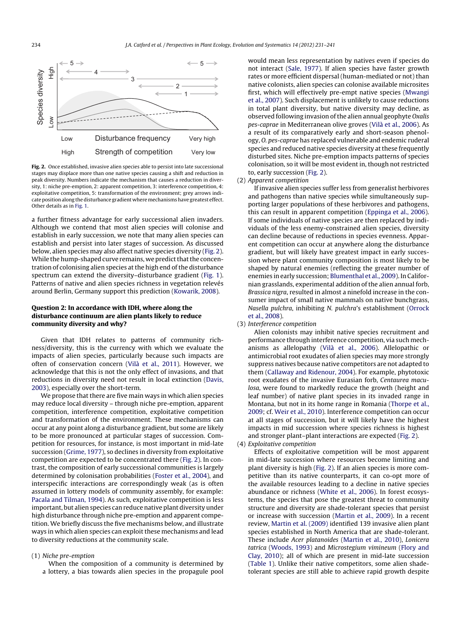<span id="page-3-0"></span>

**Fig. 2.** Once established, invasive alien species able to persist into late successional stages may displace more than one native species causing a shift and reduction in peak diversity. Numbers indicate the mechanism that causes a reduction in diversity, 1: niche pre-emption, 2: apparent competition, 3: interference competition, 4: exploitative competition, 5: transformation of the environment; grey arrows indicate position along the disturbance gradient where mechanisms have greatest effect. Other details as in [Fig.](#page-1-0) 1.

a further fitness advantage for early successional alien invaders. Although we contend that most alien species will colonise and establish in early succession, we note that many alien species can establish and persist into later stages of succession. As discussed below, alien species may also affect native species diversity (Fig. 2). While the hump-shaped curve remains, we predict that the concentration of colonising alien species at the high end of the disturbance spectrum can extend the diversity–disturbance gradient ([Fig.](#page-1-0) 1). Patterns of native and alien species richness in vegetation relevés around Berlin, Germany support this prediction [\(Kowarik,](#page-9-0) [2008\).](#page-9-0)

# **Question 2: In accordance with IDH, where along the disturbance continuum are alien plants likely to reduce community diversity and why?**

Given that IDH relates to patterns of community richness/diversity, this is the currency with which we evaluate the impacts of alien species, particularly because such impacts are often of conservation concern ([Vilà](#page-10-0) et [al.,](#page-10-0) [2011\).](#page-10-0) However, we acknowledge that this is not the only effect of invasions, and that reductions in diversity need not result in local extinction [\(Davis,](#page-8-0) [2003\),](#page-8-0) especially over the short-term.

We propose that there are five main ways in which alien species may reduce local diversity – through niche pre-emption, apparent competition, interference competition, exploitative competition and transformation of the environment. These mechanisms can occur at any point along a disturbance gradient, but some are likely to be more pronounced at particular stages of succession. Competition for resources, for instance, is most important in mid-late succession [\(Grime,](#page-9-0) [1977\),](#page-9-0) so declines in diversity from exploitative competition are expected to be concentrated there (Fig. 2). In contrast, the composition of early successional communities is largely determined by colonisation probabilities [\(Foster](#page-8-0) et [al.,](#page-8-0) [2004\),](#page-8-0) and interspecific interactions are correspondingly weak (as is often assumed in lottery models of community assembly, for example: [Pacala](#page-9-0) [and](#page-9-0) [Tilman,](#page-9-0) [1994\).](#page-9-0) As such, exploitative competition is less important, but alien species can reduce native plant diversity under high disturbance through niche pre-emption and apparent competition. We briefly discuss the five mechanisms below, and illustrate ways in which alien species can exploit these mechanisms and lead to diversity reductions at the community scale.

## (1) Niche pre-emption

When the composition of a community is determined by a lottery, a bias towards alien species in the propagule pool would mean less representation by natives even if species do not interact ([Sale,](#page-9-0) [1977\).](#page-9-0) If alien species have faster growth rates or more efficient dispersal (human-mediated or not) than native colonists, alien species can colonise available microsites first, which will effectively pre-empt native species ([Mwangi](#page-9-0) et [al.,](#page-9-0) [2007\).](#page-9-0) Such displacement is unlikely to cause reductions in total plant diversity, but native diversity may decline, as observed following invasion of the alien annual geophyte Oxalis pes-caprae in Mediterranean olive groves ([Vilà](#page-10-0) et [al.,](#page-10-0) [2006\).](#page-10-0) As a result of its comparatively early and short-season phenology, O. pes-caprae has replaced vulnerable and endemic ruderal species and reduced native species diversity at these frequently disturbed sites. Niche pre-emption impacts patterns of species colonisation, so it will be most evident in, though not restricted to, early succession (Fig. 2).

# (2) Apparent competition

If invasive alien species suffer less from generalist herbivores and pathogens than native species while simultaneously supporting larger populations of these herbivores and pathogens, this can result in apparent competition [\(Eppinga](#page-8-0) et [al.,](#page-8-0) [2006\).](#page-8-0) If some individuals of native species are then replaced by individuals of the less enemy-constrained alien species, diversity can decline because of reductions in species evenness. Apparent competition can occur at anywhere along the disturbance gradient, but will likely have greatest impact in early succession where plant community composition is most likely to be shaped by natural enemies (reflecting the greater number of enemies in early succession; [Blumenthal](#page-8-0) et [al.,](#page-8-0) [2009\).](#page-8-0) In Californian grasslands, experimental addition of the alien annual forb, Brassica nigra, resulted in almost a ninefold increase in the consumer impact of small native mammals on native bunchgrass, Nasella pulchra, inhibiting N. pulchra's establishment ([Orrock](#page-9-0) et [al.,](#page-9-0) [2008\).](#page-9-0)

# (3) Interference competition

Alien colonists may inhibit native species recruitment and performance through interference competition, via such mechanisms as allelopathy ([Vilà](#page-10-0) et [al.,](#page-10-0) [2006\).](#page-10-0) Allelopathic or antimicrobial root exudates of alien species may more strongly suppress natives because native competitors are not adapted to them ([Callaway](#page-8-0) [and](#page-8-0) [Ridenour,](#page-8-0) [2004\).](#page-8-0) For example, phytotoxic root exudates of the invasive Eurasian forb, Centaurea maculosa, were found to markedly reduce the growth (height and leaf number) of native plant species in its invaded range in Montana, but not in its home range in Romania [\(Thorpe](#page-10-0) et [al.,](#page-10-0) [2009;](#page-10-0) cf. [Weir](#page-10-0) et [al.,](#page-10-0) [2010\).](#page-10-0) Interference competition can occur at all stages of succession, but it will likely have the highest impacts in mid succession where species richness is highest and stronger plant–plant interactions are expected (Fig. 2).

## (4) Exploitative competition

Effects of exploitative competition will be most apparent in mid-late succession where resources become limiting and plant diversity is high (Fig. 2). If an alien species is more competitive than its native counterparts, it can co-opt more of the available resources leading to a decline in native species abundance or richness [\(White](#page-10-0) et [al.,](#page-10-0) [2006\).](#page-10-0) In forest ecosystems, the species that pose the greatest threat to community structure and diversity are shade-tolerant species that persist or increase with succession ([Martin](#page-9-0) et [al.,](#page-9-0) [2009\).](#page-9-0) In a recent review, [Martin](#page-9-0) et [al.](#page-9-0) [\(2009\)](#page-9-0) identified 139 invasive alien plant species established in North America that are shade-tolerant. These include Acer platanoides ([Martin](#page-9-0) et [al.,](#page-9-0) [2010\),](#page-9-0) Lonicera tatrica [\(Woods,](#page-10-0) [1993\)](#page-10-0) and Microstegium vimineum [\(Flory](#page-8-0) [and](#page-8-0) [Clay,](#page-8-0) [2010\);](#page-8-0) all of which are present in mid-late succession [\(Table](#page-4-0) 1). Unlike their native competitors, some alien shadetolerant species are still able to achieve rapid growth despite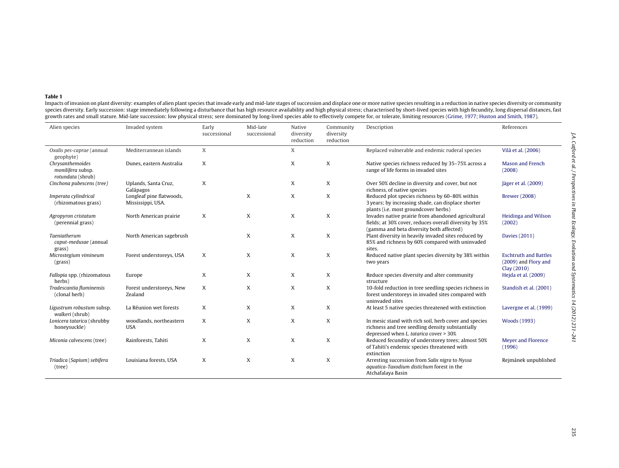#### <span id="page-4-0"></span>**Table 1**

Impacts of invasion on plant diversity: examples of alien plant species that invade early and mid-late stages of succession and displace one or more native species resulting in a reduction in native species diversity or co species diversity. Early succession: stage immediately following a disturbance that has high resource availability and high physical stress; characterised by short-lived species with high fecundity, long dispersal distance growth rates and small stature. Mid-late succession: low physical stress; sere dominated by long-lived species able to effectively compete for, or tolerate, limiting resources ([Grime,](#page-9-0) [1977;](#page-9-0) [Huston](#page-9-0) [and](#page-9-0) [Smith,](#page-9-0) [1987\).](#page-9-0)

| Alien species                                              | Invaded system                                | Early<br>successional | Mid-late<br>successional | Native<br>diversity<br>reduction | Community<br>diversity<br>reduction | Description                                                                                                                                              | References                                                          |
|------------------------------------------------------------|-----------------------------------------------|-----------------------|--------------------------|----------------------------------|-------------------------------------|----------------------------------------------------------------------------------------------------------------------------------------------------------|---------------------------------------------------------------------|
| Oxalis pes-caprae (annual<br>geophyte)                     | Mediterrannean islands                        | $\boldsymbol{X}$      |                          | X                                |                                     | Replaced vulnerable and endemic ruderal species                                                                                                          | Vilà et al. (2006)                                                  |
| Chrysanthemoides<br>monilifera subsp.<br>rotundata (shrub) | Dunes, eastern Australia                      | X                     |                          | X                                | X                                   | Native species richness reduced by 35-75% across a<br>range of life forms in invaded sites                                                               | <b>Mason and French</b><br>(2008)                                   |
| Cinchona pubescens (tree)                                  | Uplands, Santa Cruz,<br>Galápagos             | X                     |                          | X                                | X                                   | Over 50% decline in diversity and cover, but not<br>richness, of native species                                                                          | Jäger et al. (2009)                                                 |
| Imperata cylindrical<br>(rhizomatous grass)                | Longleaf pine flatwoods,<br>Mississippi, USA. |                       | X                        | X                                | X                                   | Reduced plot species richness by 60-80% within<br>3 years; by increasing shade, can displace shorter<br>plants (i.e. most groundcover herbs)             | <b>Brewer</b> (2008)                                                |
| Agropyron cristatum<br>(perennial grass)                   | North American prairie                        | $\boldsymbol{X}$      | X                        | X                                | X                                   | Invades native prairie from abandoned agricultural<br>fields; at 30% cover, reduces overall diversity by 35%<br>(gamma and beta diversity both affected) | Heidinga and Wilson<br>(2002)                                       |
| Taeniatherum<br>caput-medusae (annual<br>grass)            | North American sagebrush                      |                       | X                        | X                                | X                                   | Plant diversity in heavily invaded sites reduced by<br>85% and richness by 60% compared with uninvaded<br>sites.                                         | Davies (2011)                                                       |
| Microstegium vimineum<br>(grass)                           | Forest understoreys, USA                      | X                     | X                        | X                                | X                                   | Reduced native plant species diversity by 38% within<br>two years                                                                                        | <b>Eschtruth and Battles</b><br>(2009) and Flory and<br>Clay (2010) |
| Fallopia spp. (rhizomatous<br>herbs)                       | Europe                                        | X                     | X                        | X                                | X                                   | Reduce species diversity and alter community<br>structure                                                                                                | Hejda et al. (2009)                                                 |
| Tradescantia fluminensis<br>(clonal herb)                  | Forest understoreys, New<br>Zealand           | X                     | X                        | X                                | X                                   | 10-fold reduction in tree seedling species richness in<br>forest understoreys in invaded sites compared with<br>uninvaded sites                          | Standish et al. (2001)                                              |
| Ligustrum robustum subsp.<br>walkeri (shrub)               | La Réunion wet forests                        | X                     | X                        | X                                | X                                   | At least 5 native species threatened with extinction                                                                                                     | Lavergne et al. (1999)                                              |
| Lonicera tatarica (shrubby<br>honeysuckle)                 | woodlands, northeastern<br><b>USA</b>         | X                     | X                        | X                                | X                                   | In mesic stand with rich soil, herb cover and species<br>richness and tree seedling density substantially<br>depressed when L. tatarica cover > 30%      | Woods (1993)                                                        |
| Miconia calvescens (tree)                                  | Rainforests, Tahiti                           | X                     | X                        | X                                | X                                   | Reduced fecundity of understorey trees; almost 50%<br>of Tahiti's endemic species threatened with<br>extinction                                          | Meyer and Florence<br>(1996)                                        |
| Triadica (Sapium) sebifera<br>(tree)                       | Louisiana forests, USA                        | X                     | X                        | X                                | X                                   | Arresting succession from Salix nigra to Nyssa<br>aquatica-Taxodium distichum forest in the<br>Atchafalaya Basin                                         | Rejmánek unpublished                                                |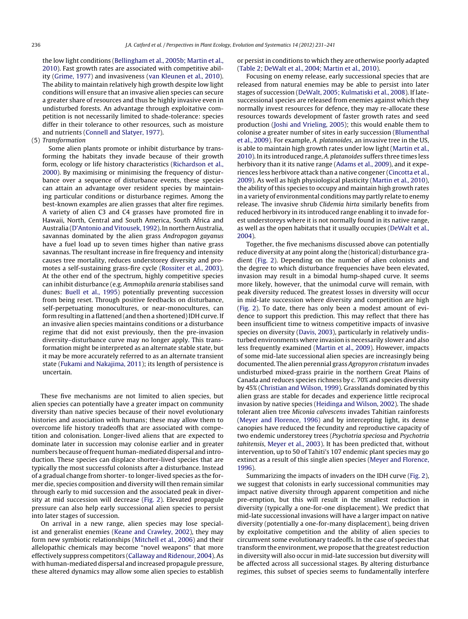the low light conditions [\(Bellingham](#page-8-0) et [al.,](#page-8-0) [2005b;](#page-8-0) [Martin](#page-8-0) et [al.,](#page-8-0) [2010\).](#page-8-0) Fast growth rates are associated with competitive ability ([Grime,](#page-9-0) [1977\)](#page-9-0) and invasiveness [\(van](#page-10-0) [Kleunen](#page-10-0) et [al.,](#page-10-0) [2010\).](#page-10-0) The ability to maintain relatively high growth despite low light conditions will ensure that an invasive alien species can secure a greater share of resources and thus be highly invasive even in undisturbed forests. An advantage through exploitative competition is not necessarily limited to shade-tolerance: species differ in their tolerance to other resources, such as moisture and nutrients ([Connell](#page-8-0) [and](#page-8-0) [Slatyer,](#page-8-0) [1977\).](#page-8-0)

(5) Transformation

Some alien plants promote or inhibit disturbance by transforming the habitats they invade because of their growth form, ecology or life history characteristics ([Richardson](#page-9-0) et [al.,](#page-9-0) [2000\).](#page-9-0) By maximising or minimising the frequency of disturbance over a sequence of disturbance events, these species can attain an advantage over resident species by maintaining particular conditions or disturbance regimes. Among the best-known examples are alien grasses that alter fire regimes. A variety of alien C3 and C4 grasses have promoted fire in Hawaii, North, Central and South America, South Africa and Australia ([D'Antonio](#page-8-0) [and](#page-8-0) [Vitousek,](#page-8-0) [1992\).](#page-8-0) In northern Australia, savannas dominated by the alien grass Andropogon gayanus have a fuel load up to seven times higher than native grass savannas. The resultant increase in fire frequency and intensity causes tree mortality, reduces understorey diversity and promotes a self-sustaining grass-fire cycle ([Rossiter](#page-9-0) et [al.,](#page-9-0) [2003\).](#page-9-0) At the other end of the spectrum, highly competitive species can inhibit disturbance (e.g. Ammophila arenaria stabilises sand dunes: [Buell](#page-8-0) et [al.,](#page-8-0) [1995\)](#page-8-0) potentially preventing succession from being reset. Through positive feedbacks on disturbance, self-perpetuating monocultures, or near-monocultures, can form resulting in a flattened (and then a shortened) IDH curve. If an invasive alien species maintains conditions or a disturbance regime that did not exist previously, then the pre-invasion diversity–disturbance curve may no longer apply. This transformation might be interpreted as an alternate stable state, but it may be more accurately referred to as an alternate transient state ([Fukami](#page-9-0) [and](#page-9-0) [Nakajima,](#page-9-0) [2011\);](#page-9-0) its length of persistence is uncertain.

These five mechanisms are not limited to alien species, but alien species can potentially have a greater impact on community diversity than native species because of their novel evolutionary histories and association with humans; these may allow them to overcome life history tradeoffs that are associated with competition and colonisation. Longer-lived aliens that are expected to dominate later in succession may colonise earlier and in greater numbers because offrequent human-mediated dispersal and introduction. These species can displace shorter-lived species that are typically the most successful colonists after a disturbance. Instead of a gradual change from shorter- to longer-lived species as the former die, species composition and diversity will then remain similar through early to mid succession and the associated peak in diversity at mid succession will decrease [\(Fig.](#page-3-0) 2). Elevated propagule pressure can also help early successional alien species to persist into later stages of succession.

On arrival in a new range, alien species may lose specialist and generalist enemies ([Keane](#page-9-0) [and](#page-9-0) [Crawley,](#page-9-0) [2002\),](#page-9-0) they may form new symbiotic relationships ([Mitchell](#page-9-0) et [al.,](#page-9-0) [2006\)](#page-9-0) and their allelopathic chemicals may become "novel weapons" that more effectively suppress competitors ([Callaway](#page-8-0) [and](#page-8-0) [Ridenour,](#page-8-0) [2004\).](#page-8-0)As with human-mediated dispersal and increased propagule pressure, these altered dynamics may allow some alien species to establish or persistin conditions to which they are otherwise poorly adapted ([Table](#page-6-0) 2; [DeWalt](#page-8-0) et [al.,](#page-8-0) [2004;](#page-8-0) [Martin](#page-8-0) et [al.,](#page-8-0) [2010\).](#page-8-0)

Focusing on enemy release, early successional species that are released from natural enemies may be able to persist into later stages of succession ([DeWalt,](#page-8-0) [2005;](#page-8-0) [Kulmatiski](#page-8-0) et [al.,](#page-8-0) [2008\).](#page-8-0) If latesuccessional species are released from enemies against which they normally invest resources for defence, they may re-allocate these resources towards development of faster growth rates and seed production ([Joshi](#page-9-0) [and](#page-9-0) [Vrieling,](#page-9-0) [2005\);](#page-9-0) this would enable them to colonise a greater number of sites in early succession ([Blumenthal](#page-8-0) et [al.,](#page-8-0) [2009\).](#page-8-0) For example, A. platanoides, an invasive tree in the US, is able to maintain high growth rates under low light [\(Martin](#page-9-0) et [al.,](#page-9-0) [2010\).](#page-9-0) In its introduced range, A. platanoides suffers three times less herbivory than it its native range [\(Adams](#page-8-0) et [al.,](#page-8-0) [2009\),](#page-8-0) and it experiences less herbivore attack than a native congener [\(Cincotta](#page-8-0) et [al.,](#page-8-0) [2009\).](#page-8-0) As well as high physiological plasticity ([Martin](#page-9-0) et [al.,](#page-9-0) [2010\),](#page-9-0) the ability of this species to occupy and maintain high growth rates in a variety of environmental conditions may partly relate to enemy release. The invasive shrub Clidemia hirta similarly benefits from reduced herbivory in its introduced range enabling it to invade forest understoreys where it is not normally found in its native range, as well as the open habitats that it usually occupies ([DeWalt](#page-8-0) et [al.,](#page-8-0) [2004\).](#page-8-0)

Together, the five mechanisms discussed above can potentially reduce diversity at any point along the (historical) disturbance gradient ([Fig.](#page-3-0) 2). Depending on the number of alien colonists and the degree to which disturbance frequencies have been elevated, invasion may result in a bimodal hump-shaped curve. It seems more likely, however, that the unimodal curve will remain, with peak diversity reduced. The greatest losses in diversity will occur in mid-late succession where diversity and competition are high ([Fig.](#page-3-0) 2). To date, there has only been a modest amount of evidence to support this prediction. This may reflect that there has been insufficient time to witness competitive impacts of invasive species on diversity [\(Davis,](#page-8-0) [2003\),](#page-8-0) particularly in relatively undisturbed environments where invasion is necessarily slower and also less frequently examined ([Martin](#page-9-0) et [al.,](#page-9-0) [2009\).](#page-9-0) However, impacts of some mid-late successional alien species are increasingly being documented. The alien perennial grass Agropyron cristatum invades undisturbed mixed-grass prairie in the northern Great Plains of Canada and reduces species richness by c. 70% and species diversity by 45% ([Christian](#page-8-0) [and](#page-8-0) [Wilson,](#page-8-0) [1999\).](#page-8-0) Grasslands dominated by this alien grass are stable for decades and experience little reciprocal invasion by native species [\(Heidinga](#page-9-0) [and](#page-9-0) [Wilson,](#page-9-0) [2002\).](#page-9-0) The shade tolerant alien tree Miconia calvescens invades Tahitian rainforests ([Meyer](#page-9-0) [and](#page-9-0) [Florence,](#page-9-0) [1996\)](#page-9-0) and by intercepting light, its dense canopies have reduced the fecundity and reproductive capacity of two endemic understorey trees (Psychotria speciosa and Psychotria tahitensis, [Meyer](#page-9-0) et [al.,](#page-9-0) [2003\).](#page-9-0) It has been predicted that, without intervention, up to 50 of Tahiti's 107 endemic plant species may go extinct as a result of this single alien species ([Meyer](#page-9-0) [and](#page-9-0) [Florence,](#page-9-0) [1996\).](#page-9-0)

Summarizing the impacts of invaders on the IDH curve ([Fig.](#page-3-0) 2), we suggest that colonists in early successional communities may impact native diversity through apparent competition and niche pre-emption, but this will result in the smallest reduction in diversity (typically a one-for-one displacement). We predict that mid-late successional invasions will have a larger impact on native diversity (potentially a one-for-many displacement), being driven by exploitative competition and the ability of alien species to circumvent some evolutionary tradeoffs. In the case of species that transform the environment, we propose that the greatest reduction in diversity will also occur in mid-late succession but diversity will be affected across all successional stages. By altering disturbance regimes, this subset of species seems to fundamentally interfere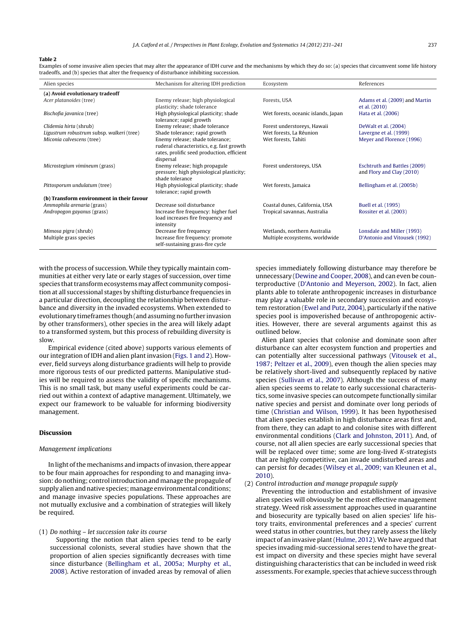#### <span id="page-6-0"></span>**Table 2**

Examples of some invasive alien species that may alter the appearance of IDH curve and the mechanisms by which they do so: (a) species that circumvent some life history tradeoffs, and (b) species that alter the frequency of disturbance inhibiting succession.

| Alien species                             | Mechanism for altering IDH prediction                                                                                                   | Ecosystem                           | References                                                |
|-------------------------------------------|-----------------------------------------------------------------------------------------------------------------------------------------|-------------------------------------|-----------------------------------------------------------|
| (a) Avoid evolutionary tradeoff           |                                                                                                                                         |                                     |                                                           |
| Acer platanoides (tree)                   | Enemy release; high physiological<br>plasticity; shade tolerance                                                                        | Forests, USA                        | Adams et al. (2009) and Martin<br>et al. (2010)           |
| Bischofia javanica (tree)                 | High physiological plasticity; shade<br>tolerance; rapid growth                                                                         | Wet forests, oceanic islands, Japan | Hata et al. (2006)                                        |
| Clidemia hirta (shrub)                    | Enemy release; shade tolerance                                                                                                          | Forest understoreys, Hawaii         | DeWalt et al. (2004)                                      |
| Ligustrum robustrum subsp. walkeri (tree) | Shade tolerance; rapid growth                                                                                                           | Wet forests, La Réunion             | Lavergne et al. (1999)                                    |
| Miconia calvescens (tree)                 | Enemy release; shade tolerance;<br>ruderal characteristics, e.g. fast growth<br>rates, prolific seed production, efficient<br>dispersal | Wet forests, Tahiti                 | Meyer and Florence (1996)                                 |
| Microstegium vimineum (grass)             | Enemy release; high propagule<br>pressure; high physiological plasticity;<br>shade tolerance                                            | Forest understoreys, USA            | Eschtruth and Battles (2009)<br>and Flory and Clay (2010) |
| Pittosporum undulatum (tree)              | High physiological plasticity; shade<br>tolerance; rapid growth                                                                         | Wet forests, Jamaica                | Bellingham et al. (2005b)                                 |
| (b) Transform environment in their favour |                                                                                                                                         |                                     |                                                           |
| Ammophila arenaria (grass)                | Decrease soil disturbance                                                                                                               | Coastal dunes, California, USA      | Buell et al. (1995)                                       |
| Andropogon gayanus (grass)                | Increase fire frequency: higher fuel<br>load increases fire frequency and<br>intensity                                                  | Tropical savannas, Australia        | Rossiter et al. (2003)                                    |
| Mimosa pigra (shrub)                      | Decrease fire frequency                                                                                                                 | Wetlands, northern Australia        | Lonsdale and Miller (1993)                                |
| Multiple grass species                    | Increase fire frequency: promote<br>self-sustaining grass-fire cycle                                                                    | Multiple ecosystems, worldwide      | D'Antonio and Vitousek (1992)                             |

with the process of succession. While they typically maintain communities at either very late or early stages of succession, over time species that transform ecosystems may affect community composition at all successional stages by shifting disturbance frequencies in a particular direction, decoupling the relationship between disturbance and diversity in the invaded ecosystems. When extended to evolutionary timeframes though (and assuming no further invasion by other transformers), other species in the area will likely adapt to a transformed system, but this process of rebuilding diversity is slow.

Empirical evidence (cited above) supports various elements of our integration of IDH and alien plantinvasion ([Figs.](#page-1-0) 1 and 2). However, field surveys along disturbance gradients will help to provide more rigorous tests of our predicted patterns. Manipulative studies will be required to assess the validity of specific mechanisms. This is no small task, but many useful experiments could be carried out within a context of adaptive management. Ultimately, we expect our framework to be valuable for informing biodiversity management.

## **Discussion**

#### Management implications

In light of the mechanisms and impacts of invasion, there appear to be four main approaches for responding to and managing invasion: do nothing; control introduction and manage the propagule of supply alien and native species; manage environmental conditions; and manage invasive species populations. These approaches are not mutually exclusive and a combination of strategies will likely be required.

# (1) Do nothing – let succession take its course

Supporting the notion that alien species tend to be early successional colonists, several studies have shown that the proportion of alien species significantly decreases with time since disturbance ([Bellingham](#page-8-0) et [al.,](#page-8-0) [2005a;](#page-8-0) [Murphy](#page-8-0) et [al.,](#page-8-0) [2008\).](#page-8-0) Active restoration of invaded areas by removal of alien

species immediately following disturbance may therefore be unnecessary ([Dewine](#page-8-0) [and](#page-8-0) [Cooper,](#page-8-0) [2008\),](#page-8-0) and can even be counterproductive [\(D'Antonio](#page-8-0) [and](#page-8-0) [Meyerson,](#page-8-0) [2002\).](#page-8-0) In fact, alien plants able to tolerate anthropogenic increases in disturbance may play a valuable role in secondary succession and ecosystem restoration ([Ewel](#page-8-0) [and](#page-8-0) [Putz,](#page-8-0) [2004\),](#page-8-0) particularly if the native species pool is impoverished because of anthropogenic activities. However, there are several arguments against this as outlined below.

Alien plant species that colonise and dominate soon after disturbance can alter ecosystem function and properties and can potentially alter successional pathways ([Vitousek](#page-10-0) et [al.,](#page-10-0) [1987;](#page-10-0) [Peltzer](#page-10-0) et [al.,](#page-10-0) [2009\),](#page-10-0) even though the alien species may be relatively short-lived and subsequently replaced by native species ([Sullivan](#page-10-0) et [al.,](#page-10-0) [2007\).](#page-10-0) Although the success of many alien species seems to relate to early successional characteristics, some invasive species can outcompete functionally similar native species and persist and dominate over long periods of time ([Christian](#page-8-0) [and](#page-8-0) [Wilson,](#page-8-0) [1999\).](#page-8-0) It has been hypothesised that alien species establish in high disturbance areas first and, from there, they can adapt to and colonise sites with different environmental conditions ([Clark](#page-8-0) [and](#page-8-0) [Johnston,](#page-8-0) [2011\).](#page-8-0) And, of course, not all alien species are early successional species that will be replaced over time; some are long-lived K-strategists that are highly competitive, can invade undisturbed areas and can persist for decades ([Wilsey](#page-10-0) et [al.,](#page-10-0) [2009;](#page-10-0) [van](#page-10-0) [Kleunen](#page-10-0) et [al.,](#page-10-0) [2010\).](#page-10-0)

## (2) Control introduction and manage propagule supply

Preventing the introduction and establishment of invasive alien species will obviously be the most effective management strategy. Weed risk assessment approaches used in quarantine and biosecurity are typically based on alien species' life history traits, environmental preferences and a species' current weed status in other countries, but they rarely assess the likely impact of an invasive plant ([Hulme,](#page-9-0) [2012\).](#page-9-0) We have argued that species invading mid-successional seres tend to have the greatest impact on diversity and these species might have several distinguishing characteristics that can be included in weed risk assessments. For example, species that achieve success through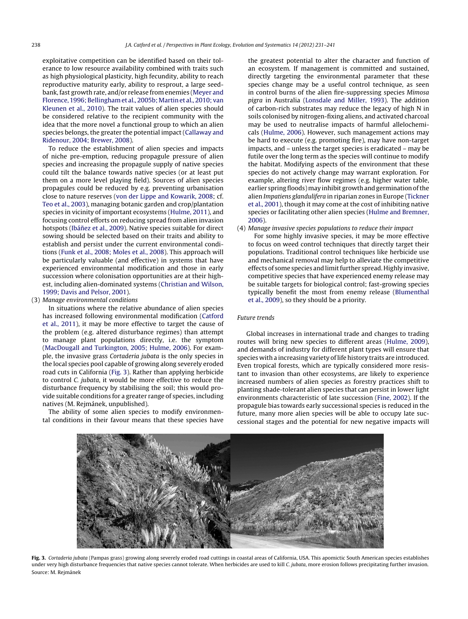exploitative competition can be identified based on their tolerance to low resource availability combined with traits such as high physiological plasticity, high fecundity, ability to reach reproductive maturity early, ability to resprout, a large seedbank, fast growth rate, and/or release from enemies ([Meyer](#page-9-0) [and](#page-9-0) Florence, 1996; Bellingham et al., 2005b; Martin et al., 2010; [van](#page-9-0) [Kleunen](#page-9-0) et [al.,](#page-9-0) [2010\).](#page-9-0) The trait values of alien species should be considered relative to the recipient community with the idea that the more novel a functional group to which an alien species belongs, the greater the potential impact ([Callaway](#page-8-0) [and](#page-8-0) [Ridenour,](#page-8-0) [2004;](#page-8-0) [Brewer,](#page-8-0) [2008\).](#page-8-0)

To reduce the establishment of alien species and impacts of niche pre-emption, reducing propagule pressure of alien species and increasing the propagule supply of native species could tilt the balance towards native species (or at least put them on a more level playing field). Sources of alien species propagules could be reduced by e.g. preventing urbanisation close to nature reserves [\(von](#page-10-0) [der](#page-10-0) [Lippe](#page-10-0) [and](#page-10-0) [Kowarik,](#page-10-0) [2008;](#page-10-0) cf. [Teo](#page-10-0) et [al.,](#page-10-0) [2003\),](#page-10-0) managing botanic garden and crop/plantation species in vicinity of important ecosystems [\(Hulme,](#page-9-0) [2011\),](#page-9-0) and focusing control efforts on reducing spread from alien invasion hotspots (Ibáñez et [al.,](#page-9-0) [2009\).](#page-9-0) Native species suitable for direct sowing should be selected based on their traits and ability to establish and persist under the current environmental conditions [\(Funk](#page-9-0) et [al.,](#page-9-0) [2008;](#page-9-0) [Moles](#page-9-0) et [al.,](#page-9-0) [2008\).](#page-9-0) This approach will be particularly valuable (and effective) in systems that have experienced environmental modification and those in early succession where colonisation opportunities are at their highest, including alien-dominated systems [\(Christian](#page-8-0) [and](#page-8-0) [Wilson,](#page-8-0) [1999;](#page-8-0) [Davis](#page-8-0) [and](#page-8-0) [Pelsor,](#page-8-0) [2001\).](#page-8-0)

# (3) Manage environmental conditions

In situations where the relative abundance of alien species has increased following environmental modification ([Catford](#page-8-0) et [al.,](#page-8-0) [2011\),](#page-8-0) it may be more effective to target the cause of the problem (e.g. altered disturbance regimes) than attempt to manage plant populations directly, i.e. the symptom [\(MacDougall](#page-9-0) [and](#page-9-0) [Turkington,](#page-9-0) [2005;](#page-9-0) [Hulme,](#page-9-0) [2006\).](#page-9-0) For example, the invasive grass Cortaderia jubata is the only species in the local species pool capable of growing along severely eroded road cuts in California (Fig. 3). Rather than applying herbicide to control C. jubata, it would be more effective to reduce the disturbance frequency by stabilising the soil; this would provide suitable conditions for a greater range of species, including natives (M. Rejmánek, unpublished).

The ability of some alien species to modify environmental conditions in their favour means that these species have the greatest potential to alter the character and function of an ecosystem. If management is committed and sustained, directly targeting the environmental parameter that these species change may be a useful control technique, as seen in control burns of the alien fire-suppressing species Mimosa pigra in Australia [\(Lonsdale](#page-9-0) [and](#page-9-0) [Miller,](#page-9-0) [1993\).](#page-9-0) The addition of carbon-rich substrates may reduce the legacy of high N in soils colonised by nitrogen-fixing aliens, and activated charcoal may be used to neutralise impacts of harmful allelochemicals [\(Hulme,](#page-9-0) [2006\).](#page-9-0) However, such management actions may be hard to execute (e.g. promoting fire), may have non-target impacts, and – unless the target species is eradicated – may be futile over the long term as the species will continue to modify the habitat. Modifying aspects of the environment that these species do not actively change may warrant exploration. For example, altering river flow regimes (e.g. higher water table, earlier springfloods)may inhibit growthandgerminationofthe alien Impatiens glandulifera in riparian zones in Europe [\(Tickner](#page-10-0) et [al.,](#page-10-0) [2001\),](#page-10-0) though it may come at the cost of inhibiting native species or facilitating other alien species [\(Hulme](#page-9-0) [and](#page-9-0) [Bremner,](#page-9-0) [2006\).](#page-9-0)

(4) Manage invasive species populations to reduce their impact For some highly invasive species, it may be more effective to focus on weed control techniques that directly target their populations. Traditional control techniques like herbicide use and mechanical removal may help to alleviate the competitive effects of some species and limit further spread. Highly invasive, competitive species that have experienced enemy release may be suitable targets for biological control; fast-growing species typically benefit the most from enemy release ([Blumenthal](#page-8-0) et [al.,](#page-8-0) [2009\),](#page-8-0) so they should be a priority.

## Future trends

Global increases in international trade and changes to trading routes will bring new species to different areas ([Hulme,](#page-9-0) [2009\),](#page-9-0) and demands of industry for different plant types will ensure that species with a increasing variety of life history traits are introduced. Even tropical forests, which are typically considered more resistant to invasion than other ecosystems, are likely to experience increased numbers of alien species as forestry practices shift to planting shade-tolerant alien species that can persist in lower light environments characteristic of late succession [\(Fine,](#page-8-0) [2002\).](#page-8-0) If the propagule bias towards early successional species is reduced in the future, many more alien species will be able to occupy late successional stages and the potential for new negative impacts will



**Fig. 3.** Cortaderia jubata (Pampas grass) growing along severely eroded road cuttings in coastal areas of California, USA. This apomictic South American species establishes under very high disturbance frequencies that native species cannot tolerate. When herbicides are used to kill C. jubata, more erosion follows precipitating further invasion. Source: M. Rejmánek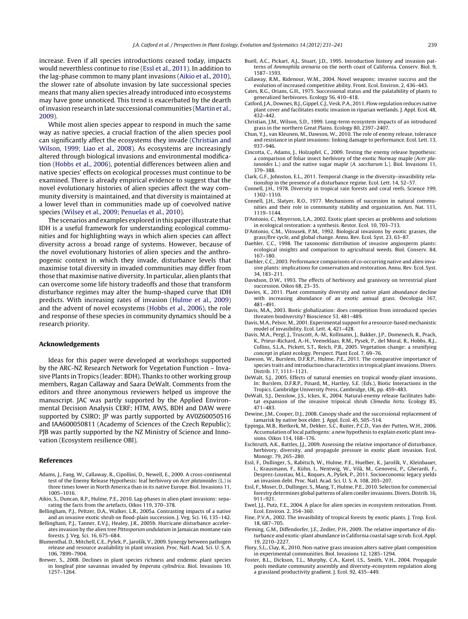<span id="page-8-0"></span>increase. Even if all species introductions ceased today, impacts would neverthless continue to rise (Essl et al., 2011). In addition to the lag-phase common to many plant invasions (Aikio et al., 2010), the slower rate of absolute invasion by late successional species means that many alien species already introduced into ecosystems may have gone unnoticed. This trend is exacerbated by the dearth of invasion research in late successional communities ([Martin](#page-9-0) et [al.,](#page-9-0) [2009\).](#page-9-0)

While most alien species appear to respond in much the same way as native species, a crucial fraction of the alien species pool can significantly affect the ecosystems they invade (Christian and Wilson, 1999; Liao et al., 2008). As ecosystems are increasingly altered through biological invasions and environmental modification ([Hobbs](#page-9-0) et [al.,](#page-9-0) [2006\),](#page-9-0) potential differences between alien and native species' effects on ecological processes must continue to be examined. There is already empirical evidence to suggest that the novel evolutionary histories of alien species affect the way community diversity is maintained, and that diversity is maintained at a lower level than in communities made up of coevolved native species [\(Wilsey](#page-10-0) et [al.,](#page-10-0) [2009;](#page-10-0) [Penuelas](#page-10-0) et [al.,](#page-10-0) [2010\).](#page-10-0)

The scenarios and examples explored in this paper illustrate that IDH is a useful framework for understanding ecological communities and for highlighting ways in which alien species can affect diversity across a broad range of systems. However, because of the novel evolutionary histories of alien species and the anthropogenic context in which they invade, disturbance levels that maximise total diversity in invaded communities may differ from those that maximise native diversity. In particular, alien plants that can overcome some life history tradeoffs and those that transform disturbance regimes may alter the hump-shaped curve that IDH predicts. With increasing rates of invasion [\(Hulme](#page-9-0) et [al.,](#page-9-0) [2009\)](#page-9-0) and the advent of novel ecosystems ([Hobbs](#page-9-0) et [al.,](#page-9-0) [2006\),](#page-9-0) the role and response of these species in community dynamics should be a research priority.

#### **Acknowledgements**

Ideas for this paper were developed at workshops supported by the ARC-NZ Research Network for Vegetation Function – Invasive Plants in Tropics (leader: BDH). Thanks to other working group members, Ragan Callaway and Saara DeWalt. Comments from the editors and three anonymous reviewers helped us improve the manuscript. JAC was partly supported by the Applied Environmental Decision Analysis CERF; HTM, AWS, BDH and DAW were supported by CSIRO; JP was partly supported by AV0Z60050516 and IAA600050811 (Academy of Sciences of the Czech Republic); PJB was partly supported by the NZ Ministry of Science and Innovation (Ecosystem resilience OBI).

## **References**

- Adams, J., Fang, W., Callaway, R., Cipollini, D., Newell, E., 2009. A cross-continental test of the Enemy Release Hypothesis: leaf herbivory on Acer platanoides (L.) is three times lower in North America than in its native Europe. Biol. Invasions 11, 1005–1016.
- Aikio, S., Duncan, R.P., Hulme, P.E., 2010. Lag-phases in alien plant invasions: separating the facts from the artefacts. Oikos 119, 370–378.
- Bellingham, P.J., Peltzer, D.A., Walker, L.R., 2005a. Contrasting impacts of a native and an invasive exotic shrub on flood-plain succession. J. Veg. Sci. 16, 135–142.
- Bellingham, P.J., Tanner, E.V.J., Healey, J.R., 2005b. Hurricane disturbance accelerates invasion by the alien tree Pittosporum undulatum in Jamaican montane rain forests. J. Veg. Sci. 16, 675–684.
- Blumenthal, D., Mitchell, C.E., Pyšek, P., Jarošík, V., 2009. Synergy between pathogen release and resource availability in plant invasion. Proc. Natl. Acad. Sci. U. S. A. 106, 7899–7904.
- Brewer, S., 2008. Declines in plant species richness and endemic plant species in longleaf pine savannas invaded by Imperata cylindrica. Biol. Invasions 10, 1257–1264.
- Buell, A.C., Pickart, A.I., Stuart, I.D., 1995. Introduction history and invasion patterns of Ammophila arenaria on the north coast of California. Conserv. Biol. 9, 1587–1593.
- Callaway, R.M., Ridenour, W.M., 2004. Novel weapons: invasive success and the evolution of increased competitive ability. Front. Ecol. Environ. 2, 436–443.
- Cates, R.G., Orians, G.H., 1975. Successional status and the palatability of plants to generalized herbivores. Ecology 56, 410–418.
- Catford, J.A., Downes, B.J., Gippel, C.J., Vesk, P.A., 2011. Flow regulation reduces native plant cover and facilitates exotic invasion in riparian wetlands. J. Appl. Ecol. 48, 432–442.
- Christian, J.M., Wilson, S.D., 1999. Long-term ecosystem impacts of an introduced grass in the northern Great Plains. Ecology 80, 2397–2407.
- Chun, Y.J., van Kleunen, M., Dawson, W., 2010. The role of enemy release, tolerance and resistance in plant invasions: linking damage to performance. Ecol. Lett. 13, 937–946.
- Cincotta, C., Adams, J., Holzapfel, C., 2009. Testing the enemy release hypothesis: a comparison of foliar insect herbivory of the exotic Norway maple (Acer platanoides L.) and the native sugar maple (A. saccharum L.). Biol. Invasions 11, 379–388.
- Clark, G.F., Johnston, E.L., 2011. Temporal change in the diversity–invasibility relationship in the presence of a disturbance regime. Ecol. Lett. 14, 52–57.
- Connell, J.H., 1978. Diversity in tropical rain forests and coral reefs. Science 199, 1302–1310.
- Connell, J.H., Slatyer, R.O., 1977. Mechanisms of succession in natural communities and their role in community stability and organization. Am. Nat. 111, 1119–1144.
- D'Antonio, C., Meyerson, L.A., 2002. Exotic plant species as problems and solutions in ecological restoration: a synthesis. Restor. Ecol. 10, 703–713.
- D'Antonio, C.M., Vitousek, P.M., 1992. Biological invasions by exotic grasses, the grass/fire cycle, and global change. Annu. Rev. Ecol. Syst. 23, 63–87.
- Daehler, C.C., 1998. The taxonomic distribution of invasive angiosperm plants: ecological insights and comparison to agricultural weeds. Biol. Conserv. 84, 167–180.
- Daehler, C.C., 2003. Performance comparisons of co-occurring native and alien invasive plants: implications for conservation and restoration. Annu. Rev. Ecol. Syst. 34, 183–211.
- Davidson, D.W., 1993. The effects of herbivory and granivory on terrestrial plant succession. Oikos 68, 23–35.
- Davies, K., 2011. Plant community diversity and native plant abundance decline with increasing abundance of an exotic annual grass. Oecologia 167, 481–491.
- Davis, M.A., 2003. Biotic globalization: does competition from introduced species threaten biodiversity? Bioscience 53, 481–489.
- Davis, M.A., Pelsor, M., 2001. Experimental support for a resource-based mechanistic model of invasibility. Ecol. Lett. 4, 421–428.
- Davis, M.A., Pergl, J., Truscott, A.-M., Kollmann, J., Bakker, J.P., Domenech, R., Prach, K., Prieur-Richard, A.-H., Veeneklaas, R.M., Pysek, P., del Moral, R., Hobbs, R.J., Collins, S.L.A., Pickett, S.T., Reich, P.B., 2005. Vegetation change: a reunifying concept in plant ecology. Perspect. Plant Ecol. 7, 69–76.
- Dawson, W., Burslem, D.F.R.P., Hulme, P.E., 2011. The comparative importance of species traits and introduction characteristics in tropical plantinvasions. Divers. Distrib. 17, 1111–1121.
- DeWalt, S.J., 2005. Effects of natural enemies on tropical woody-plant invasions. In: Burslem, D.F.R.P., Pinard, M., Hartley, S.E. (Eds.), Biotic Interactions in the Tropics. Cambridge University Press, Cambridge, UK, pp. 459–483.
- DeWalt, S.J., Denslow, J.S., Ickes, K., 2004. Natural-enemy release facilitates habitat expansion of the invasive tripoical shrub Climedia hirta. Ecology 85, 471–483.
- Dewine, J.M., Cooper, D.J., 2008. Canopy shade and the successional replacement of tamarisk by native box elder. J. Appl. Ecol. 45, 505–514.
- Eppinga, M.B., Rietkerk, M., Dekker, S.C., Ruiter, P.C.D., Van der Putten, W.H., 2006. Accumulation of local pathogens: a new hypothesis to explain exotic plantinvasions. Oikos 114, 168–176.
- Eschtruth, A.K., Battles, J.J., 2009. Assessing the relative importance of disturbance, herbivory, diversity, and propagule pressure in exotic plant invasion. Ecol. Monogr. 79, 265–280.
- Essl, F., Dullinger, S., Rabitsch, W., Hulme, P.E., Huelber, K., Jarošík, V., Kleinbauer, I., Krausmann, F., Kühn, I., Nentwig, W., Vilà, M., Genovesi, P., Gherardi, F., Desprez-Loustau, M.L., Roques, A., Pyšek, P., 2011. Socioeconomic legacy yields an invasion debt. Proc. Natl. Acad. Sci. U. S. A. 108, 203–207.
- Essl, F., Moser, D., Dullinger, S., Mang, T., Hulme, P.E., 2010. Selection for commercial forestry determines global patterns of alien conifer invasions. Divers. Distrib. 16, 911–921.
- Ewel, J.J., Putz, F.E., 2004. A place for alien species in ecosystem restoration. Front. Ecol. Environ. 2, 354–360.
- Fine, P.V.A., 2002. The invasibility of tropical forests by exotic plants. J. Trop. Ecol. 18, 687–705.
- Fleming, G.M., Diffendorfer, J.E., Zedler, P.H., 2009. The relative importance of disturbance and exotic-plant abundance in California coastal sage scrub. Ecol. Appl. 19, 2210–2227.
- Flory, S.L., Clay, K., 2010. Non-native grass invasion alters native plant composition in experimental communities. Biol. Invasions 12, 1285–1294.
- Foster, B.L., Dickson, T.L., Murphy, C.A., Karel, I.S., Smith, V.H., 2004. Propagule pools mediate community assembly and diversity-ecosystem regulation along a grassland productivity gradient. J. Ecol. 92, 435–449.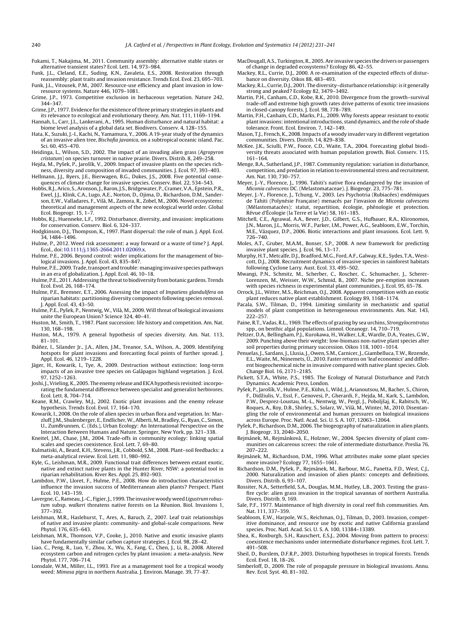<span id="page-9-0"></span>Fukami, T., Nakajima, M., 2011. Community assembly: alternative stable states or alternative transient states? Ecol. Lett. 14, 973–984.

Funk, J.L., Cleland, E.E., Suding, K.N., Zavaleta, E.S., 2008. Restoration through reassembly: plant traits and invasion resistance. Trends Ecol. Evol. 23, 695–703.

Funk, J.L., Vitousek, P.M., 2007. Resource-use efficiency and plant invasion in lowresource systems. Nature 446, 1079–1081.

- Grime, J.P., 1973. Competitive exclusion in herbaceous vegetation. Nature 242, 344–347.
- Grime, J.P., 1977. Evidence for the existence ofthree primary strategies in plants and its relevance to ecological and evolutionary theory. Am. Nat. 111, 1169–1194.
- Hannah, L., Carr, J.L., Lankerani, A., 1995. Human disturbance and natural habitat: a biome level analysis of a global data set. Biodivers. Conserv. 4, 128–155.
- Hata, K., Suzuki, J.-I., Kachi, N., Yamamura, Y., 2006. A 19-year study of the dynamics of an invasive alien tree, Bischofia javanica, on a subtropical oceanic island. Pac. Sci. 60, 455–470.
- Heidinga, L., Wilson, S.D., 2002. The impact of an invading alien grass (Agropyron cristatum) on species turnover in native prairie. Divers. Distrib. 8, 249–258.
- Hejda, M., Pyšek, P., Jarošík, V., 2009. Impact of invasive plants on the species richness, diversity and composition of invaded communities. J. Ecol. 97, 393–403.
- Hellmann, J.J., Byers, J.E., Bierwagen, B.G., Dukes, J.S., 2008. Five potential consequences of climate change for invasive species. Conserv. Biol. 22, 534–543.
- Hobbs, R.J., Arico, S., Aronson, J., Baron, J.S., Bridgewater, P., Cramer, V.A., Epstein, P.R., Ewel, J.J., Klink, C.A., Lugo, A.E., Norton, D., Ojima, D., Richardson, D.M., Sanderson, E.W., Valladares, F., Vilà, M., Zamora, R., Zobel, M., 2006. Novel ecosystems: theoretical and management aspects of the new ecological world order. Global Ecol. Biogeogr. 15, 1–7.
- Hobbs, R.J., Huenneke, L.F., 1992. Disturbance, diversity, and invasion: implications for conservation. Conserv. Biol. 6, 324–337.
- Hodgkinson, D.J., Thompson, K., 1997. Plant dispersal: the role of man. J. Appl. Ecol. 34, 1484–1496.
- Hulme, P., 2012. Weed risk assessment: a way forward or a waste of time? J. Appl. Ecol., doi[:10.1111/j.1365-2664.2011.02069.x](dx.doi.org/10.1111/j.1365-2664.2011.02069.x).
- Hulme, P.E., 2006. Beyond control: wider implications for the management of biological invasions. J. Appl. Ecol. 43, 835–847.
- Hulme, P.E., 2009. Trade, transport and trouble: managing invasive species pathways in an era of globalization. J. Appl. Ecol. 46, 10–18.
- Hulme, P.E., 2011. Addressing the threat to biodiversity from botanic gardens. Trends Ecol. Evol. 26, 168–174.
- Hulme, P.E., Bremner, E.T., 2006. Assessing the impact of Impatiens glandulifera on riparian habitats: partitioning diversity components following species removal. J. Appl. Ecol. 43, 43–50.
- Hulme, P.E., Pyšek, P., Nentwig, W., Vilà, M., 2009. Will threat of biological invasions unite the European Union? Science 324, 40–41.
- Huston, M., Smith, T., 1987. Plant succession: life history and competition. Am. Nat. 130, 168–198.
- Huston, M.A., 1979. A general hypothesis of species diversity. Am. Nat. 113, 81–101.
- Ibáñez, I., Silander Jr., J.A., Allen, J.M., Treanor, S.A., Wilson, A., 2009. Identifying hotspots for plant invasions and forecasting focal points of further spread. J. Appl. Ecol. 46, 1219–1228.
- Jäger, H., Kowarik, I., Tye, A., 2009. Destruction without extinction: long-term impacts of an invasive tree species on Galápagos highland vegetation. J. Ecol. 97, 1252–1263.
- Joshi, J., Vrieling, K., 2005. The enemy release and EICA hypothesis revisited: incorporating the fundamental difference between specialist and generalist herbivores. Ecol. Lett. 8, 704–714.
- Keane, R.M., Crawley, M.J., 2002. Exotic plant invasions and the enemy release hypothesis. Trends Ecol. Evol. 17, 164–170.
- Kowarik, I., 2008. On the role of alien species in urban flora and vegetation. In: Marzluff, J.M., Shulenberger, E., Endlicher, W., Alberti, M., Bradley, G., Ryan, C., Simon, U., ZumBrunnen, C. (Eds.), Urban Ecology: An International Perspective on the Interaction Between Humans and Nature. Springer, New York, pp. 321–338.
- Kneitel, J.M., Chase, J.M., 2004. Trade-offs in community ecology: linking spatial scales and species coexistence. Ecol. Lett. 7, 69–80.
- Kulmatiski, A., Beard, K.H., Stevens, J.R., Cobbold, S.M., 2008. Plant–soil feedbacks: a meta-analytical review. Ecol. Lett. 11, 980–992.
- Kyle, G., Leishman, M.R., 2009. Functional trait differences between extant exotic, native and extinct native plants in the Hunter River, NSW: a potential tool in riparian rehabilitation. River Res. Appl. 25, 892–903.
- Lambdon, P.W., Lloret, F., Hulme, P.E., 2008. How do introduction characteristics influence the invasion success of Mediterranean alien plants? Perspect. Plant Ecol. 10, 143–159.
- Lavergne, C., Rameau, J.-C., Figier, J., 1999. The invasive woody weed Ligustrum robustum subsp. walkeri threatens native forests on La Réunion. Biol. Invasions 1, 377–392.
- Leishman, M.R., Haslehurst, T., Ares, A., Baruch, Z., 2007. Leaf trait relationships of native and invasive plants: community- and global-scale comparisons. New Phytol. 176, 635–643.
- Leishman, M.R., Thomson, V.P., Cooke, J., 2010. Native and exotic invasive plants have fundamentally similar carbon capture strategies. J. Ecol. 98, 28–42.
- Liao, C., Peng, R., Luo, Y., Zhou, X., Wu, X., Fang, C., Chen, J., Li, B., 2008. Altered ecosystem carbon and nitrogen cycles by plant invasion: a meta-analysis. New Phytol. 177, 706–714.
- Lonsdale, W.M., Miller, I.L., 1993. Fire as a management tool for a tropical woody weed: Mimosa pigra in northern Australia. J. Environ. Manage. 39, 77–87.
- MacDougall,A.S., Turkington, R., 2005.Are invasive species the drivers or passengers of change in degraded ecosystems? Ecology 86, 42–55.
- Mackey, R.L., Currie, D.J., 2000. A re-examination of the expected effects of disturbance on diversity. Oikos 88, 483–493.
- Mackey, R.L., Currie, D.J., 2001. The diversity–disturbance relationship: is it generally strong and peaked? Ecology 82, 3479–3492.
- Martin, P.H., Canham, C.D., Kobe, R.K., 2010. Divergence from the growth–survival trade-off and extreme high growth rates drive patterns of exotic tree invasions in closed-canopy forests. J. Ecol. 98, 778–789.
- Martin, P.H., Canham, C.D., Marks, P.L., 2009. Why forests appear resistant to exotic plantinvasions:intentional introductions, stand dynamics, and the role of shade tolerance. Front. Ecol. Environ. 7, 142–149.
- Mason, T.J., French, K., 2008. Impacts of a woody invader vary in different vegetation communities. Divers. Distrib. 14, 829–838.
- McKee, J.K., Sciulli, P.W., Fooce, C.D., Waite, T.A., 2004. Forecasting global biodiversity threats associated with human population growth. Biol. Conserv. 115, 161–164.
- Menge, B.A., Sutherland, J.P., 1987. Community regulation: variation in disturbance, competition, and predation in relation to environmental stress and recruitment. Am. Nat. 130, 730–757.
- Meyer, J.-Y., Florence, J., 1996. Tahiti's native flora endangered by the invasion of Miconia calvescens DC. (Melastomataceae). J. Biogeogr. 23, 775–781.
- Meyer, J.-Y., Florence, J., Tchung, V., 2003. Les Psychotria (Rubiacées) endémiques de Tahiti (Polynésie Française) menacés par l'invasion de Miconia calvescens (Mélastomatacées): statut, repartition, écologie, phénologie et protection. Révue d'Écologie (la Terre et la Vie) 58, 161–185.
- Mitchell, C.E., Agrawal, A.A., Bever, J.D., Gilbert, G.S., Hufbauer, R.A., Klironomos, J.N., Maron, J.L., Morris, W.F., Parker, I.M., Power, A.G., Seabloom, E.W., Torchin, M.E., Vázquez, D.P., 2006. Biotic interactions and plant invasions. Ecol. Lett. 9, 726–740.
- Moles, A.T., Gruber, M.A.M., Bonser, S.P., 2008. A new framework for predicting invasive plant species. J. Ecol. 96, 13–17.
- Murphy, H.T., Metcalfe, D.J., Bradford, M.G., Ford, A.F., Galway, K.E., Sydes, T.A.,Westcott, D.J., 2008. Recruitment dynamics of invasive species in rainforest habitats following Cyclone Larry. Aust. Ecol. 33, 495–502.
- Mwangi, P.N., Schmitz, M., Scherber, C., Roscher, C., Schumacher, J., Scherer-Lorenzen, M., Weisser, W.W., Schmid, B., 2007. Niche pre-emption increases with species richness in experimental plant communities. J. Ecol. 95, 65–78.
- Orrock, J.L., Witter, M.S., Reichman, O.J., 2008. Apparent competition with an exotic plant reduces native plant establishment. Ecology 89, 1168–1174.
- Pacala, S.W., Tilman, D., 1994. Limiting similarity in mechanistic and spatial models of plant competition in heterogeneous environments. Am. Nat. 143, 222–257.
- Paine, R.T., Vadas, R.L., 1969. The effects of grazing by sea urchins, Strongylocentrotus spp., on benthic algal populations. Limnol. Oceanogr. 14, 710–719.
- Peltzer, D.A., Bellingham, P.J., Kurokawa, H., Walker, L.R., Wardle, D.A., Yeates, G.W., 2009. Punching above their weight: low-biomass non-native plant species alter soil properties during primary succession. Oikos 118, 1001–1014.
- Penuelas, J., Sardans, J., Llusia, J., Owen, S.M., Carnicer, J., Giambelluca, T.W., Rezende, E.L., Waite, M., Niinemets, Ü., 2010. Faster returns on 'leaf economics' and different biogeochemical niche in invasive compared with native plant species. Glob. Change Biol. 16, 2171–2185.
- Pickett, S.T.A., White, P.S., 1985. The Ecology of Natural Disturbance and Patch Dynamics. Academic Press, London.
- Pyšek, P., Jarošík, V., Hulme, P.E., Kühn, I., Wild, J., Arianoutsou, M., Bacher, S., Chiron, F., Didžiulis, V., Essl, F., Genovesi, P., Gherardi, F., Hejda, M., Kark, S., Lambdon, P.W., Desprez-Loustau, M.-L., Nentwig, W., Pergl, J., Poboljšaj, K., Rabitsch, W., Roques, A., Roy, D.B., Shirley, S., Solarz, W., Vilà, M., Winter, M., 2010. Disentangling the role of environmental and human pressures on biological invasions across Europe. Proc. Natl. Acad. Sci. U. S. A. 107, 12063–12064.
- Pyšek, P., Richardson, D.M., 2006. The biogeography of naturalization in alien plants. J. Biogeogr. 33, 2040–2050.
- Rejmánek, M., Rejmánková, E., Holzner, W., 2004. Species diversity of plant communities on calcareous screes: the role of intermediate disturbance. Preslia 76, 207–222.
- Rejmánek, M., Richardson, D.M., 1996. What attributes make some plant species more invasive? Ecology 77, 1655–1661.
- Richardson, D.M., Pyšek, P., Rejmánek, M., Barbour, M.G., Panetta, F.D., West, C.J., 2000. Naturalization and invasion of alien plants: concepts and definitions. Divers. Distrib. 6, 93–107.
- Rossiter, N.A., Setterfield, S.A., Douglas, M.M., Hutley, L.B., 2003. Testing the grassfire cycle: alien grass invasion in the tropical savannas of northern Australia. Divers. Distrib. 9, 169.
- Sale, P.F., 1977. Maintenance of high diversity in coral reef fish communities. Am. Nat. 111, 337–359.
- Seabloom, E.W., Harpole, W.S., Reichman, O.J., Tilman, D., 2003. Invasion, competitive dominance, and resource use by exotic and native California grassland species. Proc. Natl. Acad. Sci. U. S. A. 100, 13384–13389.
- Shea, K., Roxburgh, S.H., Rauschert, E.S.J., 2004. Moving from pattern to process: coexistence mechanisms under intermediate disturbance regimes. Ecol. Lett. 7, 491–508.
- Sheil, D., Burslem, D.F.R.P., 2003. Disturbing hypotheses in tropical forests. Trends Ecol. Evol. 18, 18–26.
- Simberloff, D., 2009. The role of propagule pressure in biological invasions. Annu. Rev. Ecol. Syst. 40, 81–102.